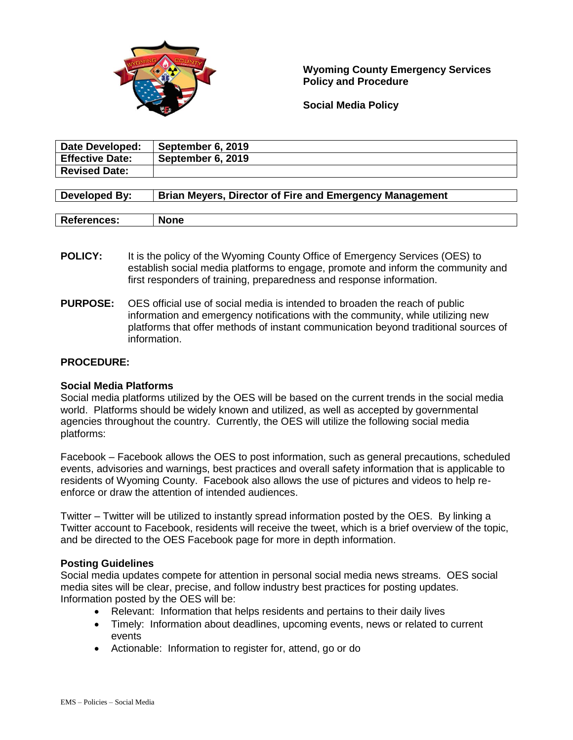

**Wyoming County Emergency Services Policy and Procedure**

**Social Media Policy**

| Date Developed:        | September 6, 2019 |
|------------------------|-------------------|
| <b>Effective Date:</b> | September 6, 2019 |
| <b>Revised Date:</b>   |                   |
|                        |                   |

| Developed By:      | <b>Brian Meyers, Director of Fire and Emergency Management</b> |
|--------------------|----------------------------------------------------------------|
|                    |                                                                |
| <b>References:</b> | <b>None</b>                                                    |

- **POLICY:** It is the policy of the Wyoming County Office of Emergency Services (OES) to establish social media platforms to engage, promote and inform the community and first responders of training, preparedness and response information.
- **PURPOSE:** OES official use of social media is intended to broaden the reach of public information and emergency notifications with the community, while utilizing new platforms that offer methods of instant communication beyond traditional sources of information.

# **PROCEDURE:**

# **Social Media Platforms**

Social media platforms utilized by the OES will be based on the current trends in the social media world. Platforms should be widely known and utilized, as well as accepted by governmental agencies throughout the country. Currently, the OES will utilize the following social media platforms:

Facebook – Facebook allows the OES to post information, such as general precautions, scheduled events, advisories and warnings, best practices and overall safety information that is applicable to residents of Wyoming County. Facebook also allows the use of pictures and videos to help reenforce or draw the attention of intended audiences.

Twitter – Twitter will be utilized to instantly spread information posted by the OES. By linking a Twitter account to Facebook, residents will receive the tweet, which is a brief overview of the topic, and be directed to the OES Facebook page for more in depth information.

# **Posting Guidelines**

Social media updates compete for attention in personal social media news streams. OES social media sites will be clear, precise, and follow industry best practices for posting updates. Information posted by the OES will be:

- Relevant: Information that helps residents and pertains to their daily lives
- Timely: Information about deadlines, upcoming events, news or related to current events
- Actionable: Information to register for, attend, go or do